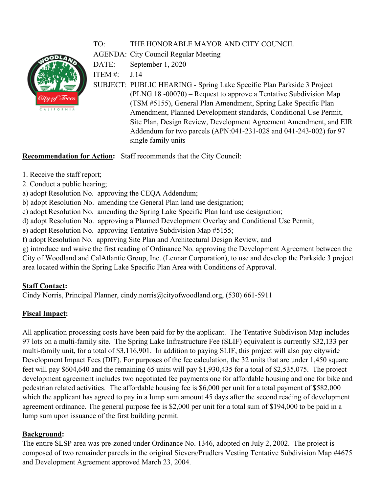# TO: THE HONORABLE MAYOR AND CITY COUNCIL

AGENDA: City Council Regular Meeting

DATE: September 1, 2020

ITEM  $#$  J.14

SUBJECT: PUBLIC HEARING - Spring Lake Specific Plan Parkside 3 Project (PLNG 18 -00070) – Request to approve a Tentative Subdivision Map (TSM #5155), General Plan Amendment, Spring Lake Specific Plan Amendment, Planned Development standards, Conditional Use Permit, Site Plan, Design Review, Development Agreement Amendment, and EIR Addendum for two parcels (APN:041-231-028 and 041-243-002) for 97 single family units

# **Recommendation for Action:** Staff recommends that the City Council:

- 1. Receive the staff report;
- 2. Conduct a public hearing;
- a) adopt Resolution No. approving the CEQA Addendum;
- b) adopt Resolution No. amending the General Plan land use designation;
- c) adopt Resolution No. amending the Spring Lake Specific Plan land use designation;
- d) adopt Resolution No. approving a Planned Development Overlay and Conditional Use Permit;
- e) adopt Resolution No. approving Tentative Subdivision Map #5155;
- f) adopt Resolution No. approving Site Plan and Architectural Design Review, and

g) introduce and waive the first reading of Ordinance No. approving the Development Agreement between the City of Woodland and CalAtlantic Group, Inc. (Lennar Corporation), to use and develop the Parkside 3 project area located within the Spring Lake Specific Plan Area with Conditions of Approval.

# **Staff Contact:**

Cindy Norris, Principal Planner, cindy.norris@cityofwoodland.org, (530) 661-5911

# **Fiscal Impact:**

All application processing costs have been paid for by the applicant. The Tentative Subdivison Map includes 97 lots on a multi-family site. The Spring Lake Infrastructure Fee (SLIF) equivalent is currently \$32,133 per multi-family unit, for a total of \$3,116,901. In addition to paying SLIF, this project will also pay citywide Development Impact Fees (DIF). For purposes of the fee calculation, the 32 units that are under 1,450 square feet will pay \$604,640 and the remaining 65 units will pay \$1,930,435 for a total of \$2,535,075. The project development agreement includes two negotiated fee payments one for affordable housing and one for bike and pedestrian related activities. The affordable housing fee is \$6,000 per unit for a total payment of \$582,000 which the applicant has agreed to pay in a lump sum amount 45 days after the second reading of development agreement ordinance. The general purpose fee is \$2,000 per unit for a total sum of \$194,000 to be paid in a lump sum upon issuance of the first building permit.

# **Background:**

The entire SLSP area was pre-zoned under Ordinance No. 1346, adopted on July 2, 2002. The project is composed of two remainder parcels in the original Sievers/Prudlers Vesting Tentative Subdivision Map #4675 and Development Agreement approved March 23, 2004.

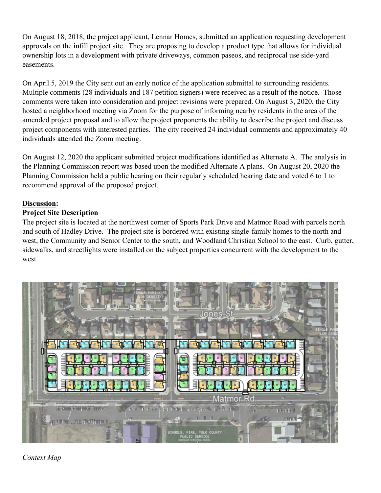On August 18, 2018, the project applicant, Lennar Homes, submitted an application requesting development approvals on the infill project site. They are proposing to develop a product type that allows for individual ownership lots in a development with private driveways, common paseos, and reciprocal use side-yard easements.

On April 5, 2019 the City sent out an early notice of the application submittal to surrounding residents. Multiple comments (28 individuals and 187 petition signers) were received as a result of the notice. Those comments were taken into consideration and project revisions were prepared. On August 3, 2020, the City hosted a neighborhood meeting via Zoom for the purpose of informing nearby residents in the area of the amended project proposal and to allow the project proponents the ability to describe the project and discuss project components with interested parties. The city received 24 individual comments and approximately 40 individuals attended the Zoom meeting.

On August 12, 2020 the applicant submitted project modifications identified as Alternate A. The analysis in the Planning Commission report was based upon the modified Alternate A plans. On August 20, 2020 the Planning Commission held a public hearing on their regularly scheduled hearing date and voted 6 to 1 to recommend approval of the proposed project.

### **Discussion:**

### **Project Site Description**

The project site is located at the northwest corner of Sports Park Drive and Matmor Road with parcels north and south of Hadley Drive. The project site is bordered with existing single-family homes to the north and west, the Community and Senior Center to the south, and Woodland Christian School to the east. Curb, gutter, sidewalks, and streetlights were installed on the subject properties concurrent with the development to the west.



*Context Map*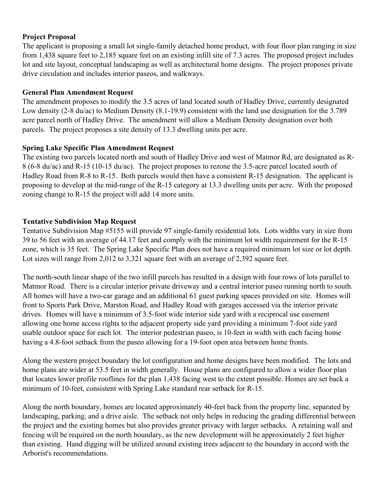### **Project Proposal**

The applicant is proposing a small lot single-family detached home product, with four floor plan ranging in size from 1,438 square feet to 2,185 square feet on an existing infill site of 7.3 acres. The proposed project includes lot and site layout, conceptual landscaping as well as architectural home designs. The project proposes private drive circulation and includes interior paseos, and walkways.

### **General Plan Amendment Request**

The amendment proposes to modify the 3.5 acres of land located south of Hadley Drive, currently designated Low density (2-8 du/ac) to Medium Density (8.1-19.9) consistent with the land use designation for the 3.789 acre parcel north of Hadley Drive. The amendment will allow a Medium Density designation over both parcels. The project proposes a site density of 13.3 dwelling units per acre.

# **Spring Lake Specific Plan Amendment Request**

The existing two parcels located north and south of Hadley Drive and west of Matmor Rd, are designated as R-8 (6-8 du/ac) and R-15 (10-15 du/ac). The project proposes to rezone the 3.5-acre parcel located south of Hadley Road from R-8 to R-15. Both parcels would then have a consistent R-15 designation. The applicant is proposing to develop at the mid-range of the R-15 category at 13.3 dwelling units per acre. With the proposed zoning change to R-15 the project will add 14 more units.

### **Tentative Subdivision Map Request**

Tentative Subdivision Map #5155 will provide 97 single-family residential lots. Lots widths vary in size from 39 to 56 feet with an average of 44.17 feet and comply with the minimum lot width requirement for the R-15 zone, which is 35 feet. The Spring Lake Specific Plan does not have a required minimum lot size or lot depth. Lot sizes will range from 2,012 to 3,321 square feet with an average of 2,392 square feet.

The north-south linear shape of the two infill parcels has resulted in a design with four rows of lots parallel to Matmor Road. There is a circular interior private driveway and a central interior paseo running north to south. All homes will have a two-car garage and an additional 61 guest parking spaces provided on site. Homes will front to Sports Park Drive, Marston Road, and Hadley Road with garages accessed via the interior private drives. Homes will have a minimum of 3.5-foot wide interior side yard with a reciprocal use easement allowing one home access rights to the adjacent property side yard providing a minimum 7-foot side yard usable outdoor space for each lot. The interior pedestrian paseo, is 10-feet in width with each facing home having a 4.8-foot setback from the paseo allowing for a 19-foot open area between home fronts.

Along the western project boundary the lot configuration and home designs have been modified. The lots and home plans are wider at 53.5 feet in width generally. House plans are configured to allow a wider floor plan that locates lower profile rooflines for the plan 1,438 facing west to the extent possible. Homes are set back a minimum of 10-feet, consistent with Spring Lake standard rear setback for R-15.

Along the north boundary, homes are located approximately 40-feet back from the property line, separated by landscaping, parking, and a drive aisle. The setback not only helps in reducing the grading differential between the project and the existing homes but also provides greater privacy with larger setbacks. A retaining wall and fencing will be required on the north boundary, as the new development will be approximately 2 feet higher than existing. Hand digging will be utilized around existing trees adjacent to the boundary in accord with the Arborist's recommendations.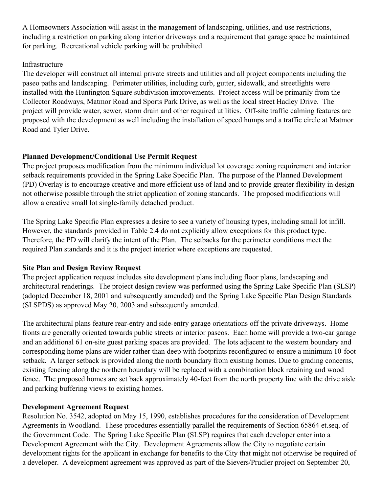A Homeowners Association will assist in the management of landscaping, utilities, and use restrictions, including a restriction on parking along interior driveways and a requirement that garage space be maintained for parking. Recreational vehicle parking will be prohibited.

### Infrastructure

The developer will construct all internal private streets and utilities and all project components including the paseo paths and landscaping. Perimeter utilities, including curb, gutter, sidewalk, and streetlights were installed with the Huntington Square subdivision improvements. Project access will be primarily from the Collector Roadways, Matmor Road and Sports Park Drive, as well as the local street Hadley Drive. The project will provide water, sewer, storm drain and other required utilities. Off-site traffic calming features are proposed with the development as well including the installation of speed humps and a traffic circle at Matmor Road and Tyler Drive.

# **Planned Development/Conditional Use Permit Request**

The project proposes modification from the minimum individual lot coverage zoning requirement and interior setback requirements provided in the Spring Lake Specific Plan. The purpose of the Planned Development (PD) Overlay is to encourage creative and more efficient use of land and to provide greater flexibility in design not otherwise possible through the strict application of zoning standards. The proposed modifications will allow a creative small lot single-family detached product.

The Spring Lake Specific Plan expresses a desire to see a variety of housing types, including small lot infill. However, the standards provided in Table 2.4 do not explicitly allow exceptions for this product type. Therefore, the PD will clarify the intent of the Plan. The setbacks for the perimeter conditions meet the required Plan standards and it is the project interior where exceptions are requested.

# **Site Plan and Design Review Request**

The project application request includes site development plans including floor plans, landscaping and architectural renderings. The project design review was performed using the Spring Lake Specific Plan (SLSP) (adopted December 18, 2001 and subsequently amended) and the Spring Lake Specific Plan Design Standards (SLSPDS) as approved May 20, 2003 and subsequently amended.

The architectural plans feature rear-entry and side-entry garage orientations off the private driveways. Home fronts are generally oriented towards public streets or interior paseos. Each home will provide a two-car garage and an additional 61 on-site guest parking spaces are provided. The lots adjacent to the western boundary and corresponding home plans are wider rather than deep with footprints reconfigured to ensure a minimum 10-foot setback. A larger setback is provided along the north boundary from existing homes. Due to grading concerns, existing fencing along the northern boundary will be replaced with a combination block retaining and wood fence. The proposed homes are set back approximately 40-feet from the north property line with the drive aisle and parking buffering views to existing homes.

# **Development Agreement Request**

Resolution No. 3542, adopted on May 15, 1990, establishes procedures for the consideration of Development Agreements in Woodland. These procedures essentially parallel the requirements of Section 65864 et.seq. of the Government Code. The Spring Lake Specific Plan (SLSP) requires that each developer enter into a Development Agreement with the City. Development Agreements allow the City to negotiate certain development rights for the applicant in exchange for benefits to the City that might not otherwise be required of a developer. A development agreement was approved as part of the Sievers/Prudler project on September 20,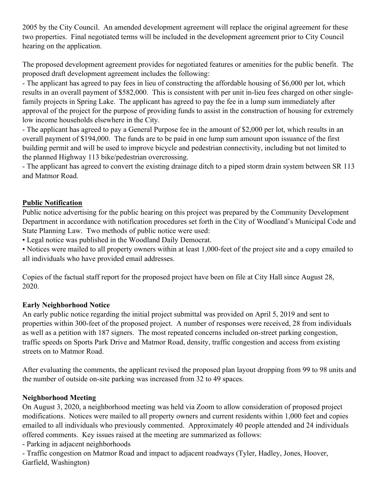2005 by the City Council. An amended development agreement will replace the original agreement for these two properties. Final negotiated terms will be included in the development agreement prior to City Council hearing on the application.

The proposed development agreement provides for negotiated features or amenities for the public benefit. The proposed draft development agreement includes the following:

- The applicant has agreed to pay fees in lieu of constructing the affordable housing of \$6,000 per lot, which results in an overall payment of \$582,000. This is consistent with per unit in-lieu fees charged on other singlefamily projects in Spring Lake. The applicant has agreed to pay the fee in a lump sum immediately after approval of the project for the purpose of providing funds to assist in the construction of housing for extremely low income households elsewhere in the City.

- The applicant has agreed to pay a General Purpose fee in the amount of \$2,000 per lot, which results in an overall payment of \$194,000. The funds are to be paid in one lump sum amount upon issuance of the first building permit and will be used to improve bicycle and pedestrian connectivity, including but not limited to the planned Highway 113 bike/pedestrian overcrossing.

- The applicant has agreed to convert the existing drainage ditch to a piped storm drain system between SR 113 and Matmor Road.

# **Public Notification**

Public notice advertising for the public hearing on this project was prepared by the Community Development Department in accordance with notification procedures set forth in the City of Woodland's Municipal Code and State Planning Law. Two methods of public notice were used:

• Legal notice was published in the Woodland Daily Democrat.

• Notices were mailed to all property owners within at least 1,000-feet of the project site and a copy emailed to all individuals who have provided email addresses.

Copies of the factual staff report for the proposed project have been on file at City Hall since August 28, 2020.

### **Early Neighborhood Notice**

An early public notice regarding the initial project submittal was provided on April 5, 2019 and sent to properties within 300-feet of the proposed project. A number of responses were received, 28 from individuals as well as a petition with 187 signers. The most repeated concerns included on-street parking congestion, traffic speeds on Sports Park Drive and Matmor Road, density, traffic congestion and access from existing streets on to Matmor Road.

After evaluating the comments, the applicant revised the proposed plan layout dropping from 99 to 98 units and the number of outside on-site parking was increased from 32 to 49 spaces.

# **Neighborhood Meeting**

On August 3, 2020, a neighborhood meeting was held via Zoom to allow consideration of proposed project modifications. Notices were mailed to all property owners and current residents within 1,000 feet and copies emailed to all individuals who previously commented. Approximately 40 people attended and 24 individuals offered comments. Key issues raised at the meeting are summarized as follows:

- Parking in adjacent neighborhoods

- Traffic congestion on Matmor Road and impact to adjacent roadways (Tyler, Hadley, Jones, Hoover, Garfield, Washington)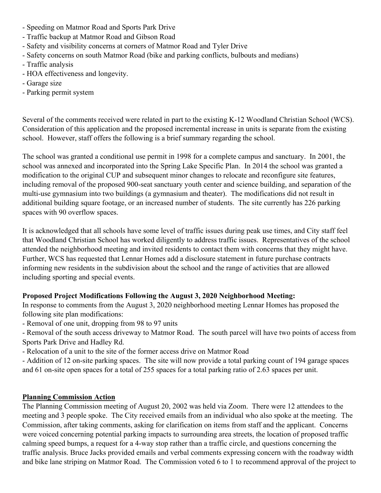- Speeding on Matmor Road and Sports Park Drive
- Traffic backup at Matmor Road and Gibson Road
- Safety and visibility concerns at corners of Matmor Road and Tyler Drive
- Safety concerns on south Matmor Road (bike and parking conflicts, bulbouts and medians)
- Traffic analysis
- HOA effectiveness and longevity.
- Garage size
- Parking permit system

Several of the comments received were related in part to the existing K-12 Woodland Christian School (WCS). Consideration of this application and the proposed incremental increase in units is separate from the existing school. However, staff offers the following is a brief summary regarding the school.

The school was granted a conditional use permit in 1998 for a complete campus and sanctuary. In 2001, the school was annexed and incorporated into the Spring Lake Specific Plan. In 2014 the school was granted a modification to the original CUP and subsequent minor changes to relocate and reconfigure site features, including removal of the proposed 900-seat sanctuary youth center and science building, and separation of the multi-use gymnasium into two buildings (a gymnasium and theater). The modifications did not result in additional building square footage, or an increased number of students. The site currently has 226 parking spaces with 90 overflow spaces.

It is acknowledged that all schools have some level of traffic issues during peak use times, and City staff feel that Woodland Christian School has worked diligently to address traffic issues. Representatives of the school attended the neighborhood meeting and invited residents to contact them with concerns that they might have. Further, WCS has requested that Lennar Homes add a disclosure statement in future purchase contracts informing new residents in the subdivision about the school and the range of activities that are allowed including sporting and special events.

### **Proposed Project Modifications Following the August 3, 2020 Neighborhood Meeting:**

In response to comments from the August 3, 2020 neighborhood meeting Lennar Homes has proposed the following site plan modifications:

- Removal of one unit, dropping from 98 to 97 units

- Removal of the south access driveway to Matmor Road. The south parcel will have two points of access from Sports Park Drive and Hadley Rd.

- Relocation of a unit to the site of the former access drive on Matmor Road

- Addition of 12 on-site parking spaces. The site will now provide a total parking count of 194 garage spaces and 61 on-site open spaces for a total of 255 spaces for a total parking ratio of 2.63 spaces per unit.

### **Planning Commission Action**

The Planning Commission meeting of August 20, 2002 was held via Zoom. There were 12 attendees to the meeting and 3 people spoke. The City received emails from an individual who also spoke at the meeting. The Commission, after taking comments, asking for clarification on items from staff and the applicant. Concerns were voiced concerning potential parking impacts to surrounding area streets, the location of proposed traffic calming speed bumps, a request for a 4-way stop rather than a traffic circle, and questions concerning the traffic analysis. Bruce Jacks provided emails and verbal comments expressing concern with the roadway width and bike lane striping on Matmor Road. The Commission voted 6 to 1 to recommend approval of the project to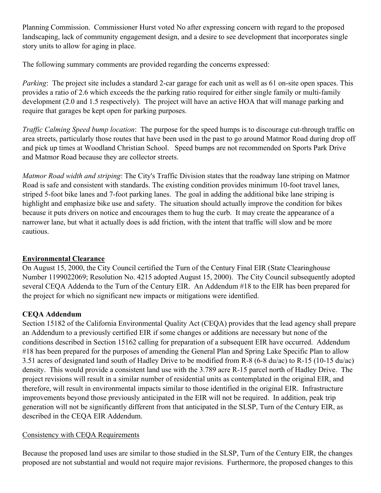Planning Commission. Commissioner Hurst voted No after expressing concern with regard to the proposed landscaping, lack of community engagement design, and a desire to see development that incorporates single story units to allow for aging in place.

The following summary comments are provided regarding the concerns expressed:

*Parking*: The project site includes a standard 2-car garage for each unit as well as 61 on-site open spaces. This provides a ratio of 2.6 which exceeds the the parking ratio required for either single family or multi-family development (2.0 and 1.5 respectively). The project will have an active HOA that will manage parking and require that garages be kept open for parking purposes.

*Traffic Calming Speed bump location*: The purpose for the speed humps is to discourage cut-through traffic on area streets, particularly those routes that have been used in the past to go around Matmor Road during drop off and pick up times at Woodland Christian School. Speed bumps are not recommended on Sports Park Drive and Matmor Road because they are collector streets.

*Matmor Road width and striping*: The City's Traffic Division states that the roadway lane striping on Matmor Road is safe and consistent with standards. The existing condition provides minimum 10-foot travel lanes, striped 5-foot bike lanes and 7-foot parking lanes. The goal in adding the additional bike lane striping is highlight and emphasize bike use and safety. The situation should actually improve the condition for bikes because it puts drivers on notice and encourages them to hug the curb. It may create the appearance of a narrower lane, but what it actually does is add friction, with the intent that traffic will slow and be more cautious.

# **Environmental Clearance**

On August 15, 2000, the City Council certified the Turn of the Century Final EIR (State Clearinghouse Number 1199022069; Resolution No. 4215 adopted August 15, 2000). The City Council subsequently adopted several CEQA Addenda to the Turn of the Century EIR. An Addendum #18 to the EIR has been prepared for the project for which no significant new impacts or mitigations were identified.

# **CEQA Addendum**

Section 15182 of the California Environmental Quality Act (CEQA) provides that the lead agency shall prepare an Addendum to a previously certified EIR if some changes or additions are necessary but none of the conditions described in Section 15162 calling for preparation of a subsequent EIR have occurred. Addendum #18 has been prepared for the purposes of amending the General Plan and Spring Lake Specific Plan to allow 3.51 acres of designated land south of Hadley Drive to be modified from R-8 (6-8 du/ac) to R-15 (10-15 du/ac) density. This would provide a consistent land use with the 3.789 acre R-15 parcel north of Hadley Drive. The project revisions will result in a similar number of residential units as contemplated in the original EIR, and therefore, will result in environmental impacts similar to those identified in the original EIR. Infrastructure improvements beyond those previously anticipated in the EIR will not be required. In addition, peak trip generation will not be significantly different from that anticipated in the SLSP, Turn of the Century EIR, as described in the CEQA EIR Addendum.

# Consistency with CEQA Requirements

Because the proposed land uses are similar to those studied in the SLSP, Turn of the Century EIR, the changes proposed are not substantial and would not require major revisions. Furthermore, the proposed changes to this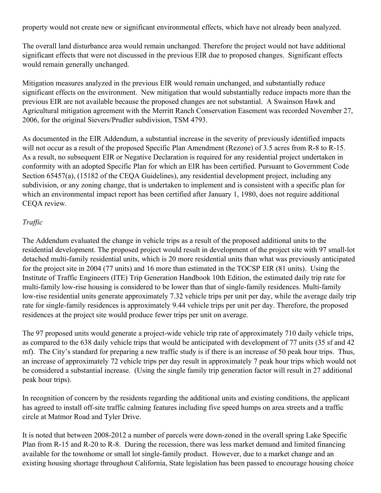property would not create new or significant environmental effects, which have not already been analyzed.

The overall land disturbance area would remain unchanged. Therefore the project would not have additional significant effects that were not discussed in the previous EIR due to proposed changes. Significant effects would remain generally unchanged.

Mitigation measures analyzed in the previous EIR would remain unchanged, and substantially reduce significant effects on the environment. New mitigation that would substantially reduce impacts more than the previous EIR are not available because the proposed changes are not substantial. A Swainson Hawk and Agricultural mitigation agreement with the Merritt Ranch Conservation Easement was recorded November 27, 2006, for the original Sievers/Prudler subdivision, TSM 4793.

As documented in the EIR Addendum, a substantial increase in the severity of previously identified impacts will not occur as a result of the proposed Specific Plan Amendment (Rezone) of 3.5 acres from R-8 to R-15. As a result, no subsequent EIR or Negative Declaration is required for any residential project undertaken in conformity with an adopted Specific Plan for which an EIR has been certified. Pursuant to Government Code Section 65457(a), (15182 of the CEOA Guidelines), any residential development project, including any subdivision, or any zoning change, that is undertaken to implement and is consistent with a specific plan for which an environmental impact report has been certified after January 1, 1980, does not require additional CEQA review.

### *Traffic*

The Addendum evaluated the change in vehicle trips as a result of the proposed additional units to the residential development. The proposed project would result in development of the project site with 97 small-lot detached multi-family residential units, which is 20 more residential units than what was previously anticipated for the project site in 2004 (77 units) and 16 more than estimated in the TOCSP EIR (81 units). Using the Institute of Traffic Engineers (ITE) Trip Generation Handbook 10th Edition, the estimated daily trip rate for multi-family low-rise housing is considered to be lower than that of single-family residences. Multi-family low-rise residential units generate approximately 7.32 vehicle trips per unit per day, while the average daily trip rate for single-family residences is approximately 9.44 vehicle trips per unit per day. Therefore, the proposed residences at the project site would produce fewer trips per unit on average.

The 97 proposed units would generate a project-wide vehicle trip rate of approximately 710 daily vehicle trips, as compared to the 638 daily vehicle trips that would be anticipated with development of 77 units (35 sf and 42 mf). The City's standard for preparing a new traffic study is if there is an increase of 50 peak hour trips. Thus, an increase of approximately 72 vehicle trips per day result in approximately 7 peak hour trips which would not be considered a substantial increase. (Using the single family trip generation factor will result in 27 additional peak hour trips).

In recognition of concern by the residents regarding the additional units and existing conditions, the applicant has agreed to install off-site traffic calming features including five speed humps on area streets and a traffic circle at Matmor Road and Tyler Drive.

It is noted that between 2008-2012 a number of parcels were down-zoned in the overall spring Lake Specific Plan from R-15 and R-20 to R-8. During the recession, there was less market demand and limited financing available for the townhome or small lot single-family product. However, due to a market change and an existing housing shortage throughout California, State legislation has been passed to encourage housing choice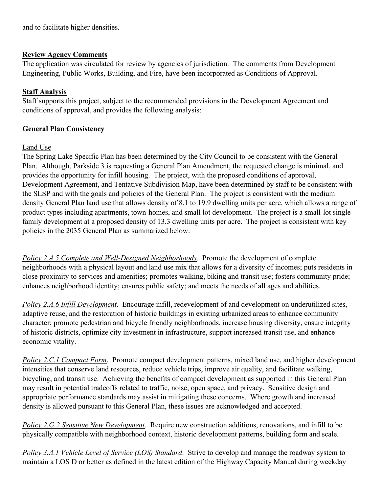and to facilitate higher densities.

### **Review Agency Comments**

The application was circulated for review by agencies of jurisdiction. The comments from Development Engineering, Public Works, Building, and Fire, have been incorporated as Conditions of Approval.

# **Staff Analysis**

Staff supports this project, subject to the recommended provisions in the Development Agreement and conditions of approval, and provides the following analysis:

### **General Plan Consistency**

### Land Use

The Spring Lake Specific Plan has been determined by the City Council to be consistent with the General Plan. Although, Parkside 3 is requesting a General Plan Amendment, the requested change is minimal, and provides the opportunity for infill housing. The project, with the proposed conditions of approval, Development Agreement, and Tentative Subdivision Map, have been determined by staff to be consistent with the SLSP and with the goals and policies of the General Plan. The project is consistent with the medium density General Plan land use that allows density of 8.1 to 19.9 dwelling units per acre, which allows a range of product types including apartments, town-homes, and small lot development. The project is a small-lot singlefamily development at a proposed density of 13.3 dwelling units per acre. The project is consistent with key policies in the 2035 General Plan as summarized below:

*Policy 2.A.5 Complete and Well-Designed Neighborhoods*. Promote the development of complete neighborhoods with a physical layout and land use mix that allows for a diversity of incomes; puts residents in close proximity to services and amenities; promotes walking, biking and transit use; fosters community pride; enhances neighborhood identity; ensures public safety; and meets the needs of all ages and abilities.

*Policy 2.A.6 Infill Development*. Encourage infill, redevelopment of and development on underutilized sites, adaptive reuse, and the restoration of historic buildings in existing urbanized areas to enhance community character; promote pedestrian and bicycle friendly neighborhoods, increase housing diversity, ensure integrity of historic districts, optimize city investment in infrastructure, support increased transit use, and enhance economic vitality.

*Policy 2.C.1 Compact Form*. Promote compact development patterns, mixed land use, and higher development intensities that conserve land resources, reduce vehicle trips, improve air quality, and facilitate walking, bicycling, and transit use. Achieving the benefits of compact development as supported in this General Plan may result in potential tradeoffs related to traffic, noise, open space, and privacy. Sensitive design and appropriate performance standards may assist in mitigating these concerns. Where growth and increased density is allowed pursuant to this General Plan, these issues are acknowledged and accepted.

*Policy 2.G.2 Sensitive New Development*. Require new construction additions, renovations, and infill to be physically compatible with neighborhood context, historic development patterns, building form and scale.

*Policy 3.A.1 Vehicle Level of Service (LOS) Standard*. Strive to develop and manage the roadway system to maintain a LOS D or better as defined in the latest edition of the Highway Capacity Manual during weekday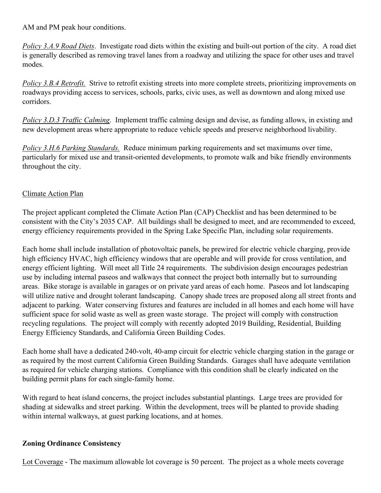AM and PM peak hour conditions.

*Policy 3.A.9 Road Diets*. Investigate road diets within the existing and built-out portion of the city. A road diet is generally described as removing travel lanes from a roadway and utilizing the space for other uses and travel modes.

*Policy 3.B.4 Retrofit.* Strive to retrofit existing streets into more complete streets, prioritizing improvements on roadways providing access to services, schools, parks, civic uses, as well as downtown and along mixed use corridors.

*Policy 3.D.3 Traffic Calming*. Implement traffic calming design and devise, as funding allows, in existing and new development areas where appropriate to reduce vehicle speeds and preserve neighborhood livability.

*Policy 3.H.6 Parking Standards.* Reduce minimum parking requirements and set maximums over time, particularly for mixed use and transit-oriented developments, to promote walk and bike friendly environments throughout the city.

### Climate Action Plan

The project applicant completed the Climate Action Plan (CAP) Checklist and has been determined to be consistent with the City's 2035 CAP. All buildings shall be designed to meet, and are recommended to exceed, energy efficiency requirements provided in the Spring Lake Specific Plan, including solar requirements.

Each home shall include installation of photovoltaic panels, be prewired for electric vehicle charging, provide high efficiency HVAC, high efficiency windows that are operable and will provide for cross ventilation, and energy efficient lighting. Will meet all Title 24 requirements. The subdivision design encourages pedestrian use by including internal paseos and walkways that connect the project both internally but to surrounding areas. Bike storage is available in garages or on private yard areas of each home. Paseos and lot landscaping will utilize native and drought tolerant landscaping. Canopy shade trees are proposed along all street fronts and adjacent to parking. Water conserving fixtures and features are included in all homes and each home will have sufficient space for solid waste as well as green waste storage. The project will comply with construction recycling regulations. The project will comply with recently adopted 2019 Building, Residential, Building Energy Efficiency Standards, and California Green Building Codes.

Each home shall have a dedicated 240-volt, 40-amp circuit for electric vehicle charging station in the garage or as required by the most current California Green Building Standards. Garages shall have adequate ventilation as required for vehicle charging stations. Compliance with this condition shall be clearly indicated on the building permit plans for each single-family home.

With regard to heat island concerns, the project includes substantial plantings. Large trees are provided for shading at sidewalks and street parking. Within the development, trees will be planted to provide shading within internal walkways, at guest parking locations, and at homes.

### **Zoning Ordinance Consistency**

Lot Coverage - The maximum allowable lot coverage is 50 percent. The project as a whole meets coverage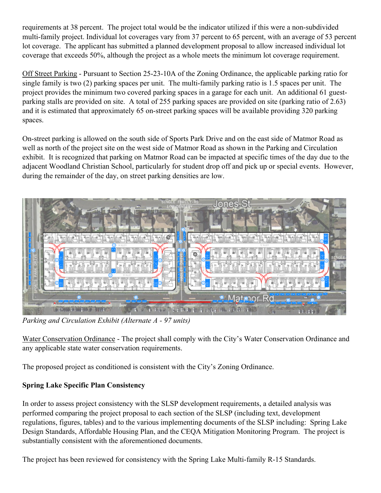requirements at 38 percent. The project total would be the indicator utilized if this were a non-subdivided multi-family project. Individual lot coverages vary from 37 percent to 65 percent, with an average of 53 percent lot coverage. The applicant has submitted a planned development proposal to allow increased individual lot coverage that exceeds 50%, although the project as a whole meets the minimum lot coverage requirement.

Off Street Parking - Pursuant to Section 25-23-10A of the Zoning Ordinance, the applicable parking ratio for single family is two (2) parking spaces per unit. The multi-family parking ratio is 1.5 spaces per unit. The project provides the minimum two covered parking spaces in a garage for each unit. An additional 61 guestparking stalls are provided on site. A total of 255 parking spaces are provided on site (parking ratio of 2.63) and it is estimated that approximately 65 on-street parking spaces will be available providing 320 parking spaces.

On-street parking is allowed on the south side of Sports Park Drive and on the east side of Matmor Road as well as north of the project site on the west side of Matmor Road as shown in the Parking and Circulation exhibit. It is recognized that parking on Matmor Road can be impacted at specific times of the day due to the adjacent Woodland Christian School, particularly for student drop off and pick up or special events. However, during the remainder of the day, on street parking densities are low.



*Parking and Circulation Exhibit (Alternate A - 97 units)*

Water Conservation Ordinance - The project shall comply with the City's Water Conservation Ordinance and any applicable state water conservation requirements.

The proposed project as conditioned is consistent with the City's Zoning Ordinance.

# **Spring Lake Specific Plan Consistency**

In order to assess project consistency with the SLSP development requirements, a detailed analysis was performed comparing the project proposal to each section of the SLSP (including text, development regulations, figures, tables) and to the various implementing documents of the SLSP including: Spring Lake Design Standards, Affordable Housing Plan, and the CEQA Mitigation Monitoring Program. The project is substantially consistent with the aforementioned documents.

The project has been reviewed for consistency with the Spring Lake Multi-family R-15 Standards.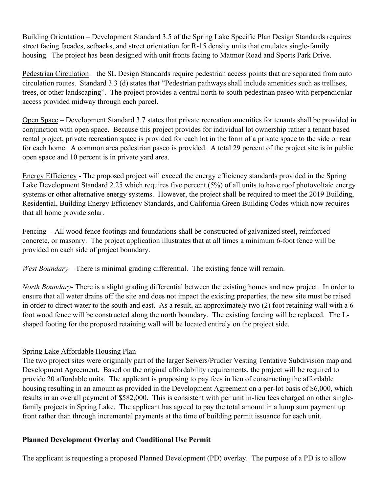Building Orientation – Development Standard 3.5 of the Spring Lake Specific Plan Design Standards requires street facing facades, setbacks, and street orientation for R-15 density units that emulates single-family housing. The project has been designed with unit fronts facing to Matmor Road and Sports Park Drive.

Pedestrian Circulation – the SL Design Standards require pedestrian access points that are separated from auto circulation routes. Standard 3.3 (d) states that "Pedestrian pathways shall include amenities such as trellises, trees, or other landscaping". The project provides a central north to south pedestrian paseo with perpendicular access provided midway through each parcel.

Open Space – Development Standard 3.7 states that private recreation amenities for tenants shall be provided in conjunction with open space. Because this project provides for individual lot ownership rather a tenant based rental project, private recreation space is provided for each lot in the form of a private space to the side or rear for each home. A common area pedestrian paseo is provided. A total 29 percent of the project site is in public open space and 10 percent is in private yard area.

Energy Efficiency - The proposed project will exceed the energy efficiency standards provided in the Spring Lake Development Standard 2.25 which requires five percent (5%) of all units to have roof photovoltaic energy systems or other alternative energy systems. However, the project shall be required to meet the 2019 Building, Residential, Building Energy Efficiency Standards, and California Green Building Codes which now requires that all home provide solar.

Fencing - All wood fence footings and foundations shall be constructed of galvanized steel, reinforced concrete, or masonry. The project application illustrates that at all times a minimum 6-foot fence will be provided on each side of project boundary.

*West Boundary* – There is minimal grading differential. The existing fence will remain.

*North Boundary*- There is a slight grading differential between the existing homes and new project. In order to ensure that all water drains off the site and does not impact the existing properties, the new site must be raised in order to direct water to the south and east. As a result, an approximately two (2) foot retaining wall with a 6 foot wood fence will be constructed along the north boundary. The existing fencing will be replaced. The Lshaped footing for the proposed retaining wall will be located entirely on the project side.

# Spring Lake Affordable Housing Plan

The two project sites were originally part of the larger Seivers/Prudler Vesting Tentative Subdivision map and Development Agreement. Based on the original affordability requirements, the project will be required to provide 20 affordable units. The applicant is proposing to pay fees in lieu of constructing the affordable housing resulting in an amount as provided in the Development Agreement on a per-lot basis of \$6,000, which results in an overall payment of \$582,000. This is consistent with per unit in-lieu fees charged on other singlefamily projects in Spring Lake. The applicant has agreed to pay the total amount in a lump sum payment up front rather than through incremental payments at the time of building permit issuance for each unit.

# **Planned Development Overlay and Conditional Use Permit**

The applicant is requesting a proposed Planned Development (PD) overlay. The purpose of a PD is to allow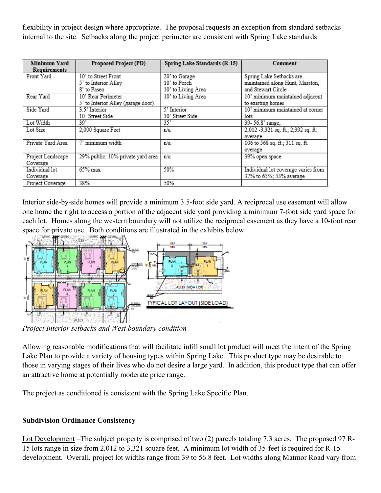flexibility in project design where appropriate. The proposal requests an exception from standard setbacks internal to the site. Setbacks along the project perimeter are consistent with Spring Lake standards

| Minimum Yard<br>Requirements | Proposed Project (PD)              | Spring Lake Standards (R-15) | Comment                             |
|------------------------------|------------------------------------|------------------------------|-------------------------------------|
| Front Yard                   | 10' to Street Front                | 20' to Garage                | Spring Lake Setbacks are            |
|                              | 5' to Interior Alley               | 10' to Porch                 | maintained along Hunt, Marston,     |
|                              | 8' to Paseo                        | 10' to Living Area           | and Stewart Circle                  |
| Rear Yard                    | 10' Rear Perimeter                 | 10' to Living Area           | 10' minimum maintained adjacent     |
|                              | 5' to Interior Alley (garage door) |                              | to existing homes                   |
| Side Yard                    | 3.5' Interior                      | 5' Interior                  | 10' minimum maintained at corner    |
|                              | 10' Street Side                    | 10' Street Side              | lots                                |
| Lot Width                    | 39'                                | 35*                          | 39- 56.8' range;                    |
| Lot Size                     | 2,000 Square Feet                  | n/a                          | 2,012 -3,321 sq. ft.; 2,392 sq. ft. |
|                              |                                    |                              | average                             |
| Private Yard Area            | minimum width                      | n/a                          | 106 to 568 sq. ft.; 311 sq. ft.     |
|                              |                                    |                              | average                             |
| Project Landscape            | 29% public; 10% private yard area  | n/a                          | 39% open space                      |
| Coverage                     |                                    |                              |                                     |
| Individual lot               | $65\%$ max                         | 50%                          | Individual lot coverage varies from |
| Coverage                     |                                    |                              | 37% to 65%; 53% average             |
| Project Coverage             | 38%                                | 50%                          |                                     |

Interior side-by-side homes will provide a minimum 3.5-foot side yard. A reciprocal use easement will allow one home the right to access a portion of the adjacent side yard providing a minimum 7-foot side yard space for each lot. Homes along the western boundary will not utilize the reciprocal easement as they have a 10-foot rear space for private use. Both conditions are illustrated in the exhibits below:



*Project Interior setbacks and West boundary condition*

Allowing reasonable modifications that will facilitate infill small lot product will meet the intent of the Spring Lake Plan to provide a variety of housing types within Spring Lake. This product type may be desirable to those in varying stages of their lives who do not desire a large yard. In addition, this product type that can offer an attractive home at potentially moderate price range.

The project as conditioned is consistent with the Spring Lake Specific Plan.

# **Subdivision Ordinance Consistency**

Lot Development –The subject property is comprised of two (2) parcels totaling 7.3 acres. The proposed 97 R-15 lots range in size from 2,012 to 3,321 square feet. A minimum lot width of 35-feet is required for R-15 development. Overall, project lot widths range from 39 to 56.8 feet. Lot widths along Matmor Road vary from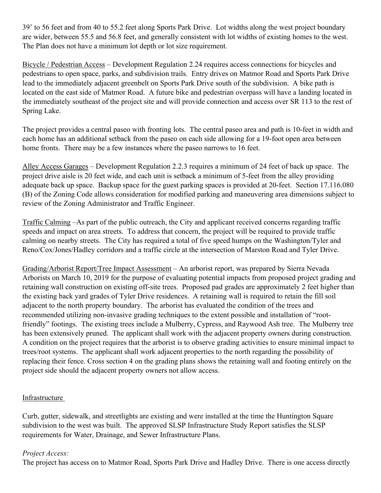39' to 56 feet and from 40 to 55.2 feet along Sports Park Drive. Lot widths along the west project boundary are wider, between 55.5 and 56.8 feet, and generally consistent with lot widths of existing homes to the west. The Plan does not have a minimum lot depth or lot size requirement.

Bicycle / Pedestrian Access – Development Regulation 2.24 requires access connections for bicycles and pedestrians to open space, parks, and subdivision trails. Entry drives on Matmor Road and Sports Park Drive lead to the immediately adjacent greenbelt on Sports Park Drive south of the subdivision. A bike path is located on the east side of Matmor Road. A future bike and pedestrian overpass will have a landing located in the immediately southeast of the project site and will provide connection and access over SR 113 to the rest of Spring Lake.

The project provides a central paseo with fronting lots. The central paseo area and path is 10-feet in width and each home has an additional setback from the paseo on each side allowing for a 19-foot open area between home fronts. There may be a few instances where the paseo narrows to 16 feet.

Alley Access Garages – Development Regulation 2.2.3 requires a minimum of 24 feet of back up space. The project drive aisle is 20 feet wide, and each unit is setback a minimum of 5-feet from the alley providing adequate back up space. Backup space for the guest parking spaces is provided at 20-feet. Section 17.116.080 (B) of the Zoning Code allows consideration for modified parking and maneuvering area dimensions subject to review of the Zoning Administrator and Traffic Engineer.

Traffic Calming –As part of the public outreach, the City and applicant received concerns regarding traffic speeds and impact on area streets. To address that concern, the project will be required to provide traffic calming on nearby streets. The City has required a total of five speed humps on the Washington/Tyler and Reno/Cox/Jones/Hadley corridors and a traffic circle at the intersection of Marston Road and Tyler Drive.

Grading/Arborist Report/Tree Impact Assessment – An arborist report, was prepared by Sierra Nevada Arborists on March 10, 2019 for the purpose of evaluating potential impacts from proposed project grading and retaining wall construction on existing off-site trees. Proposed pad grades are approximately 2 feet higher than the existing back yard grades of Tyler Drive residences. A retaining wall is required to retain the fill soil adjacent to the north property boundary. The arborist has evaluated the condition of the trees and recommended utilizing non-invasive grading techniques to the extent possible and installation of "rootfriendly" footings. The existing trees include a Mulberry, Cypress, and Raywood Ash tree. The Mulberry tree has been extensively pruned. The applicant shall work with the adjacent property owners during construction. A condition on the project requires that the arborist is to observe grading activities to ensure minimal impact to trees/root systems. The applicant shall work adjacent properties to the north regarding the possibility of replacing their fence. Cross section 4 on the grading plans shows the retaining wall and footing entirely on the project side should the adjacent property owners not allow access.

### Infrastructure

Curb, gutter, sidewalk, and streetlights are existing and were installed at the time the Huntington Square subdivision to the west was built. The approved SLSP Infrastructure Study Report satisfies the SLSP requirements for Water, Drainage, and Sewer Infrastructure Plans.

### *Project Access:*

The project has access on to Matmor Road, Sports Park Drive and Hadley Drive. There is one access directly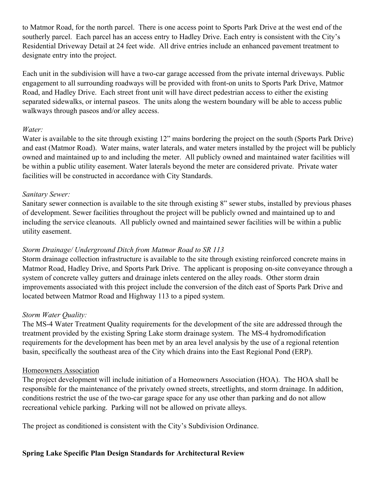to Matmor Road, for the north parcel. There is one access point to Sports Park Drive at the west end of the southerly parcel. Each parcel has an access entry to Hadley Drive. Each entry is consistent with the City's Residential Driveway Detail at 24 feet wide. All drive entries include an enhanced pavement treatment to designate entry into the project.

Each unit in the subdivision will have a two-car garage accessed from the private internal driveways. Public engagement to all surrounding roadways will be provided with front-on units to Sports Park Drive, Matmor Road, and Hadley Drive. Each street front unit will have direct pedestrian access to either the existing separated sidewalks, or internal paseos. The units along the western boundary will be able to access public walkways through paseos and/or alley access.

### *Water:*

Water is available to the site through existing 12" mains bordering the project on the south (Sports Park Drive) and east (Matmor Road). Water mains, water laterals, and water meters installed by the project will be publicly owned and maintained up to and including the meter. All publicly owned and maintained water facilities will be within a public utility easement. Water laterals beyond the meter are considered private. Private water facilities will be constructed in accordance with City Standards.

### *Sanitary Sewer:*

Sanitary sewer connection is available to the site through existing 8" sewer stubs, installed by previous phases of development. Sewer facilities throughout the project will be publicly owned and maintained up to and including the service cleanouts. All publicly owned and maintained sewer facilities will be within a public utility easement.

### *Storm Drainage/ Underground Ditch from Matmor Road to SR 113*

Storm drainage collection infrastructure is available to the site through existing reinforced concrete mains in Matmor Road, Hadley Drive, and Sports Park Drive. The applicant is proposing on-site conveyance through a system of concrete valley gutters and drainage inlets centered on the alley roads. Other storm drain improvements associated with this project include the conversion of the ditch east of Sports Park Drive and located between Matmor Road and Highway 113 to a piped system.

### *Storm Water Quality:*

The MS-4 Water Treatment Quality requirements for the development of the site are addressed through the treatment provided by the existing Spring Lake storm drainage system. The MS-4 hydromodification requirements for the development has been met by an area level analysis by the use of a regional retention basin, specifically the southeast area of the City which drains into the East Regional Pond (ERP).

#### Homeowners Association

The project development will include initiation of a Homeowners Association (HOA). The HOA shall be responsible for the maintenance of the privately owned streets, streetlights, and storm drainage. In addition, conditions restrict the use of the two-car garage space for any use other than parking and do not allow recreational vehicle parking. Parking will not be allowed on private alleys.

The project as conditioned is consistent with the City's Subdivision Ordinance.

### **Spring Lake Specific Plan Design Standards for Architectural Review**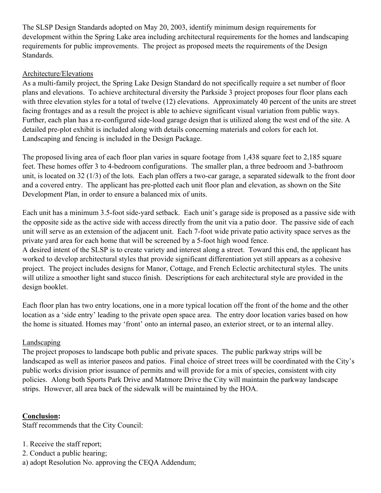The SLSP Design Standards adopted on May 20, 2003, identify minimum design requirements for development within the Spring Lake area including architectural requirements for the homes and landscaping requirements for public improvements. The project as proposed meets the requirements of the Design Standards.

### Architecture/Elevations

As a multi-family project, the Spring Lake Design Standard do not specifically require a set number of floor plans and elevations. To achieve architectural diversity the Parkside 3 project proposes four floor plans each with three elevation styles for a total of twelve (12) elevations. Approximately 40 percent of the units are street facing frontages and as a result the project is able to achieve significant visual variation from public ways. Further, each plan has a re-configured side-load garage design that is utilized along the west end of the site. A detailed pre-plot exhibit is included along with details concerning materials and colors for each lot. Landscaping and fencing is included in the Design Package.

The proposed living area of each floor plan varies in square footage from 1,438 square feet to 2,185 square feet. These homes offer 3 to 4-bedroom configurations. The smaller plan, a three bedroom and 3-bathroom unit, is located on 32 (1/3) of the lots. Each plan offers a two-car garage, a separated sidewalk to the front door and a covered entry. The applicant has pre-plotted each unit floor plan and elevation, as shown on the Site Development Plan, in order to ensure a balanced mix of units.

Each unit has a minimum 3.5-foot side-yard setback. Each unit's garage side is proposed as a passive side with the opposite side as the active side with access directly from the unit via a patio door. The passive side of each unit will serve as an extension of the adjacent unit. Each 7-foot wide private patio activity space serves as the private yard area for each home that will be screened by a 5-foot high wood fence.

A desired intent of the SLSP is to create variety and interest along a street. Toward this end, the applicant has worked to develop architectural styles that provide significant differentiation yet still appears as a cohesive project. The project includes designs for Manor, Cottage, and French Eclectic architectural styles. The units will utilize a smoother light sand stucco finish. Descriptions for each architectural style are provided in the design booklet.

Each floor plan has two entry locations, one in a more typical location off the front of the home and the other location as a 'side entry' leading to the private open space area. The entry door location varies based on how the home is situated. Homes may 'front' onto an internal paseo, an exterior street, or to an internal alley.

# Landscaping

The project proposes to landscape both public and private spaces. The public parkway strips will be landscaped as well as interior paseos and patios. Final choice of street trees will be coordinated with the City's public works division prior issuance of permits and will provide for a mix of species, consistent with city policies. Along both Sports Park Drive and Matmore Drive the City will maintain the parkway landscape strips. However, all area back of the sidewalk will be maintained by the HOA.

### **Conclusion:**

Staff recommends that the City Council:

- 1. Receive the staff report;
- 2. Conduct a public hearing;
- a) adopt Resolution No. approving the CEQA Addendum;